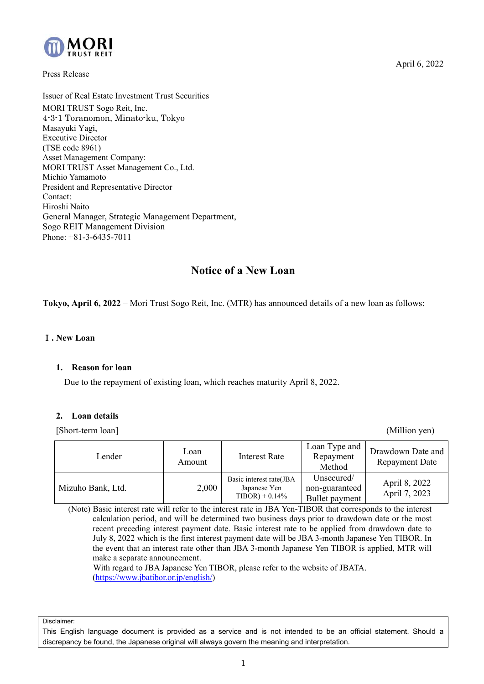

Press Release

Issuer of Real Estate Investment Trust Securities MORI TRUST Sogo Reit, Inc. 4-3-1 Toranomon, Minato-ku, Tokyo Masayuki Yagi, Executive Director (TSE code 8961) Asset Management Company: MORI TRUST Asset Management Co., Ltd. Michio Yamamoto President and Representative Director Contact: Hiroshi Naito General Manager, Strategic Management Department, Sogo REIT Management Division Phone: +81-3-6435-7011

# **Notice of a New Loan**

**Tokyo, April 6, 2022** – Mori Trust Sogo Reit, Inc. (MTR) has announced details of a new loan as follows:

#### Ⅰ**. New Loan**

#### **1. Reason for loan**

Due to the repayment of existing loan, which reaches maturity April 8, 2022.

#### **2. Loan details**

[Short-term loan] (Million yen)

| Lender            | Loan<br>Amount | Interest Rate                                              | Loan Type and<br>Repayment<br>Method           | Drawdown Date and<br><b>Repayment Date</b> |
|-------------------|----------------|------------------------------------------------------------|------------------------------------------------|--------------------------------------------|
| Mizuho Bank, Ltd. | 2,000          | Basic interest rate(JBA<br>Japanese Yen<br>$TIBOR$ + 0.14% | Unsecured/<br>non-guaranteed<br>Bullet payment | April 8, 2022<br>April 7, 2023             |

(Note) Basic interest rate will refer to the interest rate in JBA Yen-TIBOR that corresponds to the interest calculation period, and will be determined two business days prior to drawdown date or the most recent preceding interest payment date. Basic interest rate to be applied from drawdown date to July 8, 2022 which is the first interest payment date will be JBA 3-month Japanese Yen TIBOR. In the event that an interest rate other than JBA 3-month Japanese Yen TIBOR is applied, MTR will make a separate announcement.

 With regard to JBA Japanese Yen TIBOR, please refer to the website of JBATA. [\(https://www.jbatibor.or.jp/english/\)](https://www.jbatibor.or.jp/english/) 

Disclaimer:

This English language document is provided as a service and is not intended to be an official statement. Should a discrepancy be found, the Japanese original will always govern the meaning and interpretation.